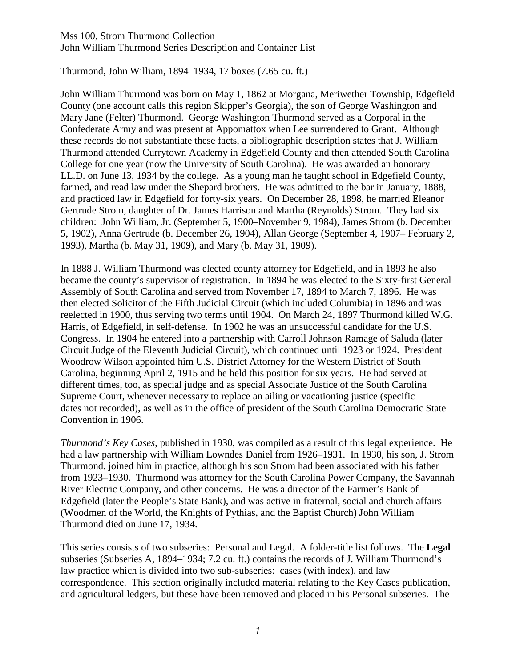Thurmond, John William, 1894–1934, 17 boxes (7.65 cu. ft.)

John William Thurmond was born on May 1, 1862 at Morgana, Meriwether Township, Edgefield County (one account calls this region Skipper's Georgia), the son of George Washington and Mary Jane (Felter) Thurmond. George Washington Thurmond served as a Corporal in the Confederate Army and was present at Appomattox when Lee surrendered to Grant. Although these records do not substantiate these facts, a bibliographic description states that J. William Thurmond attended Currytown Academy in Edgefield County and then attended South Carolina College for one year (now the University of South Carolina). He was awarded an honorary LL.D. on June 13, 1934 by the college. As a young man he taught school in Edgefield County, farmed, and read law under the Shepard brothers. He was admitted to the bar in January, 1888, and practiced law in Edgefield for forty-six years. On December 28, 1898, he married Eleanor Gertrude Strom, daughter of Dr. James Harrison and Martha (Reynolds) Strom. They had six children: John William, Jr. (September 5, 1900–November 9, 1984), James Strom (b. December 5, 1902), Anna Gertrude (b. December 26, 1904), Allan George (September 4, 1907– February 2, 1993), Martha (b. May 31, 1909), and Mary (b. May 31, 1909).

In 1888 J. William Thurmond was elected county attorney for Edgefield, and in 1893 he also became the county's supervisor of registration. In 1894 he was elected to the Sixty-first General Assembly of South Carolina and served from November 17, 1894 to March 7, 1896. He was then elected Solicitor of the Fifth Judicial Circuit (which included Columbia) in 1896 and was reelected in 1900, thus serving two terms until 1904. On March 24, 1897 Thurmond killed W.G. Harris, of Edgefield, in self-defense. In 1902 he was an unsuccessful candidate for the U.S. Congress. In 1904 he entered into a partnership with Carroll Johnson Ramage of Saluda (later Circuit Judge of the Eleventh Judicial Circuit), which continued until 1923 or 1924. President Woodrow Wilson appointed him U.S. District Attorney for the Western District of South Carolina, beginning April 2, 1915 and he held this position for six years. He had served at different times, too, as special judge and as special Associate Justice of the South Carolina Supreme Court, whenever necessary to replace an ailing or vacationing justice (specific dates not recorded), as well as in the office of president of the South Carolina Democratic State Convention in 1906.

*Thurmond's Key Cases*, published in 1930, was compiled as a result of this legal experience. He had a law partnership with William Lowndes Daniel from 1926–1931. In 1930, his son, J. Strom Thurmond, joined him in practice, although his son Strom had been associated with his father from 1923–1930. Thurmond was attorney for the South Carolina Power Company, the Savannah River Electric Company, and other concerns. He was a director of the Farmer's Bank of Edgefield (later the People's State Bank), and was active in fraternal, social and church affairs (Woodmen of the World, the Knights of Pythias, and the Baptist Church) John William Thurmond died on June 17, 1934.

This series consists of two subseries: Personal and Legal. A folder-title list follows. The **Legal** subseries (Subseries A, 1894–1934; 7.2 cu. ft.) contains the records of J. William Thurmond's law practice which is divided into two sub-subseries: cases (with index), and law correspondence. This section originally included material relating to the Key Cases publication, and agricultural ledgers, but these have been removed and placed in his Personal subseries. The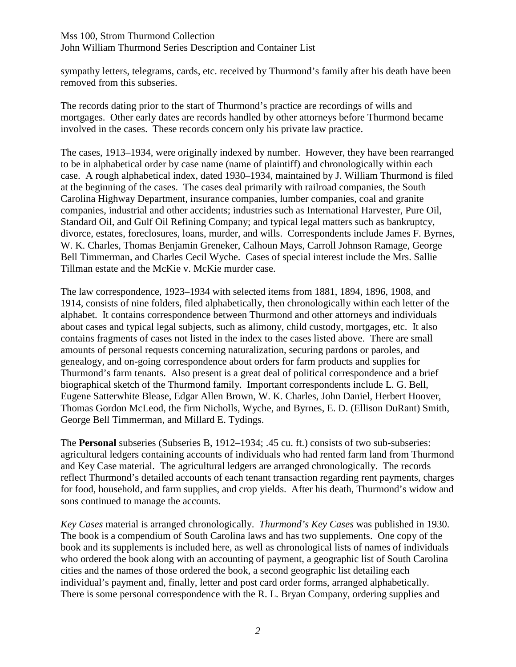sympathy letters, telegrams, cards, etc. received by Thurmond's family after his death have been removed from this subseries.

The records dating prior to the start of Thurmond's practice are recordings of wills and mortgages. Other early dates are records handled by other attorneys before Thurmond became involved in the cases. These records concern only his private law practice.

The cases, 1913–1934, were originally indexed by number. However, they have been rearranged to be in alphabetical order by case name (name of plaintiff) and chronologically within each case. A rough alphabetical index, dated 1930–1934, maintained by J. William Thurmond is filed at the beginning of the cases. The cases deal primarily with railroad companies, the South Carolina Highway Department, insurance companies, lumber companies, coal and granite companies, industrial and other accidents; industries such as International Harvester, Pure Oil, Standard Oil, and Gulf Oil Refining Company; and typical legal matters such as bankruptcy, divorce, estates, foreclosures, loans, murder, and wills. Correspondents include James F. Byrnes, W. K. Charles, Thomas Benjamin Greneker, Calhoun Mays, Carroll Johnson Ramage, George Bell Timmerman, and Charles Cecil Wyche. Cases of special interest include the Mrs. Sallie Tillman estate and the McKie v. McKie murder case.

The law correspondence, 1923–1934 with selected items from 1881, 1894, 1896, 1908, and 1914, consists of nine folders, filed alphabetically, then chronologically within each letter of the alphabet. It contains correspondence between Thurmond and other attorneys and individuals about cases and typical legal subjects, such as alimony, child custody, mortgages, etc. It also contains fragments of cases not listed in the index to the cases listed above. There are small amounts of personal requests concerning naturalization, securing pardons or paroles, and genealogy, and on-going correspondence about orders for farm products and supplies for Thurmond's farm tenants. Also present is a great deal of political correspondence and a brief biographical sketch of the Thurmond family. Important correspondents include L. G. Bell, Eugene Satterwhite Blease, Edgar Allen Brown, W. K. Charles, John Daniel, Herbert Hoover, Thomas Gordon McLeod, the firm Nicholls, Wyche, and Byrnes, E. D. (Ellison DuRant) Smith, George Bell Timmerman, and Millard E. Tydings.

The **Personal** subseries (Subseries B, 1912–1934; .45 cu. ft.) consists of two sub-subseries: agricultural ledgers containing accounts of individuals who had rented farm land from Thurmond and Key Case material. The agricultural ledgers are arranged chronologically. The records reflect Thurmond's detailed accounts of each tenant transaction regarding rent payments, charges for food, household, and farm supplies, and crop yields. After his death, Thurmond's widow and sons continued to manage the accounts.

*Key Cases* material is arranged chronologically. *Thurmond's Key Cases* was published in 1930. The book is a compendium of South Carolina laws and has two supplements. One copy of the book and its supplements is included here, as well as chronological lists of names of individuals who ordered the book along with an accounting of payment, a geographic list of South Carolina cities and the names of those ordered the book, a second geographic list detailing each individual's payment and, finally, letter and post card order forms, arranged alphabetically. There is some personal correspondence with the R. L. Bryan Company, ordering supplies and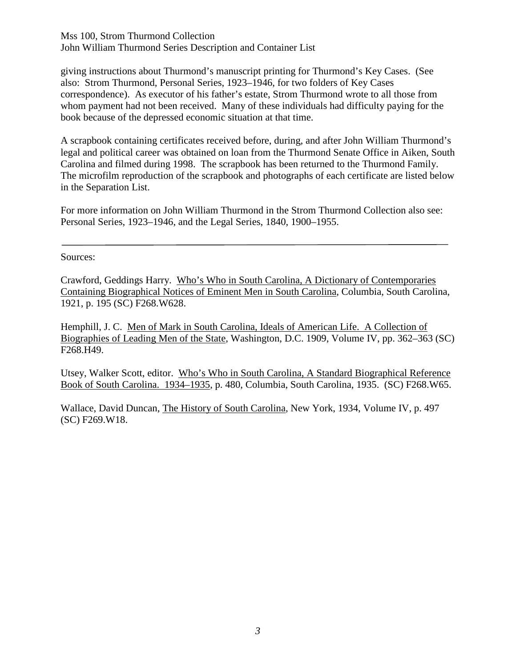giving instructions about Thurmond's manuscript printing for Thurmond's Key Cases. (See also: Strom Thurmond, Personal Series, 1923–1946, for two folders of Key Cases correspondence). As executor of his father's estate, Strom Thurmond wrote to all those from whom payment had not been received. Many of these individuals had difficulty paying for the book because of the depressed economic situation at that time.

A scrapbook containing certificates received before, during, and after John William Thurmond's legal and political career was obtained on loan from the Thurmond Senate Office in Aiken, South Carolina and filmed during 1998. The scrapbook has been returned to the Thurmond Family. The microfilm reproduction of the scrapbook and photographs of each certificate are listed below in the Separation List.

For more information on John William Thurmond in the Strom Thurmond Collection also see: Personal Series, 1923–1946, and the Legal Series, 1840, 1900–1955.

Sources:

Crawford, Geddings Harry. Who's Who in South Carolina, A Dictionary of Contemporaries Containing Biographical Notices of Eminent Men in South Carolina, Columbia, South Carolina, 1921, p. 195 (SC) F268.W628.

Hemphill, J. C. Men of Mark in South Carolina, Ideals of American Life. A Collection of Biographies of Leading Men of the State, Washington, D.C. 1909, Volume IV, pp. 362–363 (SC) F268.H49.

Utsey, Walker Scott, editor. Who's Who in South Carolina, A Standard Biographical Reference Book of South Carolina. 1934–1935, p. 480, Columbia, South Carolina, 1935. (SC) F268.W65.

Wallace, David Duncan, The History of South Carolina, New York, 1934, Volume IV, p. 497 (SC) F269.W18.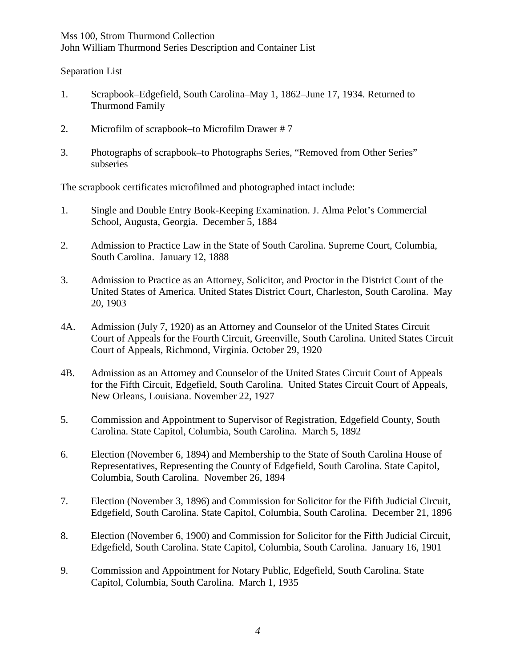Separation List

- 1. Scrapbook–Edgefield, South Carolina–May 1, 1862–June 17, 1934. Returned to Thurmond Family
- 2. Microfilm of scrapbook–to Microfilm Drawer # 7
- 3. Photographs of scrapbook–to Photographs Series, "Removed from Other Series" subseries

The scrapbook certificates microfilmed and photographed intact include:

- 1. Single and Double Entry Book-Keeping Examination. J. Alma Pelot's Commercial School, Augusta, Georgia. December 5, 1884
- 2. Admission to Practice Law in the State of South Carolina. Supreme Court, Columbia, South Carolina. January 12, 1888
- 3. Admission to Practice as an Attorney, Solicitor, and Proctor in the District Court of the United States of America. United States District Court, Charleston, South Carolina. May 20, 1903
- 4A. Admission (July 7, 1920) as an Attorney and Counselor of the United States Circuit Court of Appeals for the Fourth Circuit, Greenville, South Carolina. United States Circuit Court of Appeals, Richmond, Virginia. October 29, 1920
- 4B. Admission as an Attorney and Counselor of the United States Circuit Court of Appeals for the Fifth Circuit, Edgefield, South Carolina. United States Circuit Court of Appeals, New Orleans, Louisiana. November 22, 1927
- 5. Commission and Appointment to Supervisor of Registration, Edgefield County, South Carolina. State Capitol, Columbia, South Carolina. March 5, 1892
- 6. Election (November 6, 1894) and Membership to the State of South Carolina House of Representatives, Representing the County of Edgefield, South Carolina. State Capitol, Columbia, South Carolina. November 26, 1894
- 7. Election (November 3, 1896) and Commission for Solicitor for the Fifth Judicial Circuit, Edgefield, South Carolina. State Capitol, Columbia, South Carolina. December 21, 1896
- 8. Election (November 6, 1900) and Commission for Solicitor for the Fifth Judicial Circuit, Edgefield, South Carolina. State Capitol, Columbia, South Carolina. January 16, 1901
- 9. Commission and Appointment for Notary Public, Edgefield, South Carolina. State Capitol, Columbia, South Carolina. March 1, 1935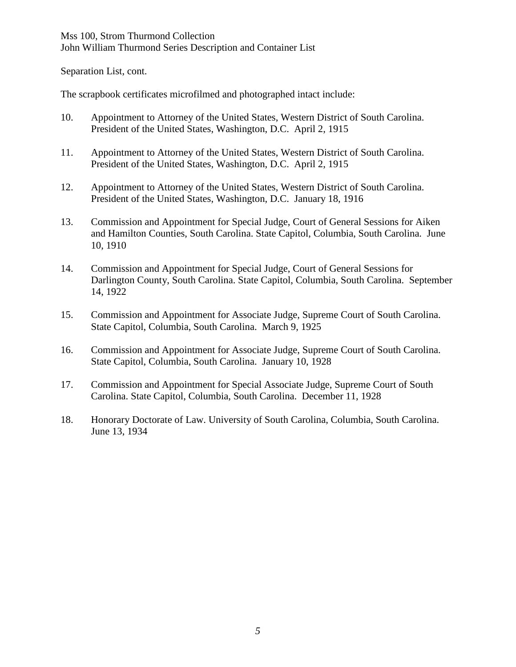Separation List, cont.

The scrapbook certificates microfilmed and photographed intact include:

- 10. Appointment to Attorney of the United States, Western District of South Carolina. President of the United States, Washington, D.C. April 2, 1915
- 11. Appointment to Attorney of the United States, Western District of South Carolina. President of the United States, Washington, D.C. April 2, 1915
- 12. Appointment to Attorney of the United States, Western District of South Carolina. President of the United States, Washington, D.C. January 18, 1916
- 13. Commission and Appointment for Special Judge, Court of General Sessions for Aiken and Hamilton Counties, South Carolina. State Capitol, Columbia, South Carolina. June 10, 1910
- 14. Commission and Appointment for Special Judge, Court of General Sessions for Darlington County, South Carolina. State Capitol, Columbia, South Carolina. September 14, 1922
- 15. Commission and Appointment for Associate Judge, Supreme Court of South Carolina. State Capitol, Columbia, South Carolina. March 9, 1925
- 16. Commission and Appointment for Associate Judge, Supreme Court of South Carolina. State Capitol, Columbia, South Carolina. January 10, 1928
- 17. Commission and Appointment for Special Associate Judge, Supreme Court of South Carolina. State Capitol, Columbia, South Carolina. December 11, 1928
- 18. Honorary Doctorate of Law. University of South Carolina, Columbia, South Carolina. June 13, 1934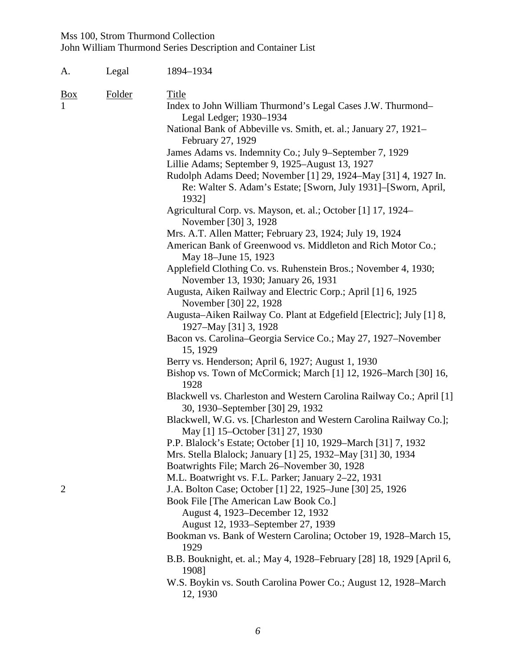| A.             | Legal  | 1894-1934                                                                                                                                                                                                                                                                                                                                                                                                                                                                                                                                                                                                                                                                                                                                                                                                                                                                                                                                                                                                                                                                                                                                                                                                                                                                                                                                                                                                     |
|----------------|--------|---------------------------------------------------------------------------------------------------------------------------------------------------------------------------------------------------------------------------------------------------------------------------------------------------------------------------------------------------------------------------------------------------------------------------------------------------------------------------------------------------------------------------------------------------------------------------------------------------------------------------------------------------------------------------------------------------------------------------------------------------------------------------------------------------------------------------------------------------------------------------------------------------------------------------------------------------------------------------------------------------------------------------------------------------------------------------------------------------------------------------------------------------------------------------------------------------------------------------------------------------------------------------------------------------------------------------------------------------------------------------------------------------------------|
| <u>Box</u>     | Folder | <b>Title</b><br>Index to John William Thurmond's Legal Cases J.W. Thurmond–<br>Legal Ledger; 1930-1934<br>National Bank of Abbeville vs. Smith, et. al.; January 27, 1921–<br>February 27, 1929<br>James Adams vs. Indemnity Co.; July 9-September 7, 1929<br>Lillie Adams; September 9, 1925–August 13, 1927<br>Rudolph Adams Deed; November [1] 29, 1924–May [31] 4, 1927 In.<br>Re: Walter S. Adam's Estate; [Sworn, July 1931]–[Sworn, April,<br>1932]<br>Agricultural Corp. vs. Mayson, et. al.; October [1] 17, 1924–<br>November [30] 3, 1928<br>Mrs. A.T. Allen Matter; February 23, 1924; July 19, 1924<br>American Bank of Greenwood vs. Middleton and Rich Motor Co.;<br>May 18–June 15, 1923<br>Applefield Clothing Co. vs. Ruhenstein Bros.; November 4, 1930;<br>November 13, 1930; January 26, 1931<br>Augusta, Aiken Railway and Electric Corp.; April [1] 6, 1925<br>November [30] 22, 1928<br>Augusta–Aiken Railway Co. Plant at Edgefield [Electric]; July [1] 8,<br>1927-May [31] 3, 1928<br>Bacon vs. Carolina–Georgia Service Co.; May 27, 1927–November<br>15, 1929<br>Berry vs. Henderson; April 6, 1927; August 1, 1930<br>Bishop vs. Town of McCormick; March [1] 12, 1926–March [30] 16,<br>1928<br>Blackwell vs. Charleston and Western Carolina Railway Co.; April [1]<br>30, 1930–September [30] 29, 1932<br>Blackwell, W.G. vs. [Charleston and Western Carolina Railway Co.]; |
| $\overline{2}$ |        | May [1] 15-October [31] 27, 1930<br>P.P. Blalock's Estate; October [1] 10, 1929–March [31] 7, 1932<br>Mrs. Stella Blalock; January [1] 25, 1932–May [31] 30, 1934<br>Boatwrights File; March 26-November 30, 1928<br>M.L. Boatwright vs. F.L. Parker; January 2–22, 1931<br>J.A. Bolton Case; October [1] 22, 1925–June [30] 25, 1926<br>Book File [The American Law Book Co.]<br>August 4, 1923–December 12, 1932<br>August 12, 1933–September 27, 1939<br>Bookman vs. Bank of Western Carolina; October 19, 1928–March 15,<br>1929<br>B.B. Bouknight, et. al.; May 4, 1928–February [28] 18, 1929 [April 6,<br>1908]<br>W.S. Boykin vs. South Carolina Power Co.; August 12, 1928–March<br>12, 1930                                                                                                                                                                                                                                                                                                                                                                                                                                                                                                                                                                                                                                                                                                         |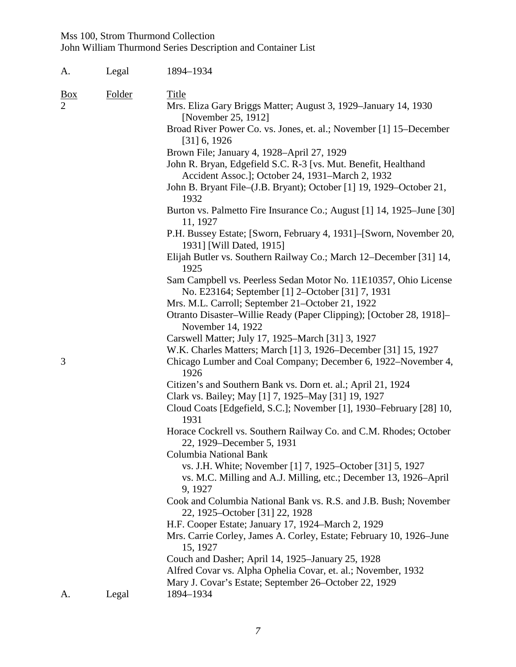| A.                                  | Legal  | 1894-1934                                                                                                                       |
|-------------------------------------|--------|---------------------------------------------------------------------------------------------------------------------------------|
| $\underline{Box}$<br>$\overline{2}$ | Folder | <b>Title</b><br>Mrs. Eliza Gary Briggs Matter; August 3, 1929–January 14, 1930                                                  |
|                                     |        | [November 25, 1912]                                                                                                             |
|                                     |        | Broad River Power Co. vs. Jones, et. al.; November [1] 15–December<br>$[31]$ 6, 1926                                            |
|                                     |        | Brown File; January 4, 1928-April 27, 1929                                                                                      |
|                                     |        | John R. Bryan, Edgefield S.C. R-3 [vs. Mut. Benefit, Healthand<br>Accident Assoc.]; October 24, 1931–March 2, 1932              |
|                                     |        | John B. Bryant File-(J.B. Bryant); October [1] 19, 1929–October 21,<br>1932                                                     |
|                                     |        | Burton vs. Palmetto Fire Insurance Co.; August [1] 14, 1925–June [30]<br>11, 1927                                               |
|                                     |        | P.H. Bussey Estate; [Sworn, February 4, 1931]–[Sworn, November 20,<br>1931] [Will Dated, 1915]                                  |
|                                     |        | Elijah Butler vs. Southern Railway Co.; March 12–December [31] 14,<br>1925                                                      |
|                                     |        | Sam Campbell vs. Peerless Sedan Motor No. 11E10357, Ohio License<br>No. E23164; September [1] 2-October [31] 7, 1931            |
|                                     |        | Mrs. M.L. Carroll; September 21-October 21, 1922                                                                                |
|                                     |        | Otranto Disaster–Willie Ready (Paper Clipping); [October 28, 1918]–<br>November 14, 1922                                        |
|                                     |        | Carswell Matter; July 17, 1925–March [31] 3, 1927                                                                               |
| 3                                   |        | W.K. Charles Matters; March [1] 3, 1926–December [31] 15, 1927<br>Chicago Lumber and Coal Company; December 6, 1922–November 4, |
|                                     |        | 1926                                                                                                                            |
|                                     |        | Citizen's and Southern Bank vs. Dorn et. al.; April 21, 1924<br>Clark vs. Bailey; May [1] 7, 1925–May [31] 19, 1927             |
|                                     |        | Cloud Coats [Edgefield, S.C.]; November [1], 1930–February [28] 10,<br>1931                                                     |
|                                     |        | Horace Cockrell vs. Southern Railway Co. and C.M. Rhodes; October<br>22, 1929–December 5, 1931                                  |
|                                     |        | Columbia National Bank                                                                                                          |
|                                     |        | vs. J.H. White; November [1] 7, 1925–October [31] 5, 1927                                                                       |
|                                     |        | vs. M.C. Milling and A.J. Milling, etc.; December 13, 1926–April<br>9, 1927                                                     |
|                                     |        | Cook and Columbia National Bank vs. R.S. and J.B. Bush; November<br>22, 1925–October [31] 22, 1928                              |
|                                     |        | H.F. Cooper Estate; January 17, 1924–March 2, 1929                                                                              |
|                                     |        | Mrs. Carrie Corley, James A. Corley, Estate; February 10, 1926–June<br>15, 1927                                                 |
|                                     |        | Couch and Dasher; April 14, 1925–January 25, 1928                                                                               |
|                                     |        | Alfred Covar vs. Alpha Ophelia Covar, et. al.; November, 1932<br>Mary J. Covar's Estate; September 26–October 22, 1929          |
| A.                                  | Legal  | 1894-1934                                                                                                                       |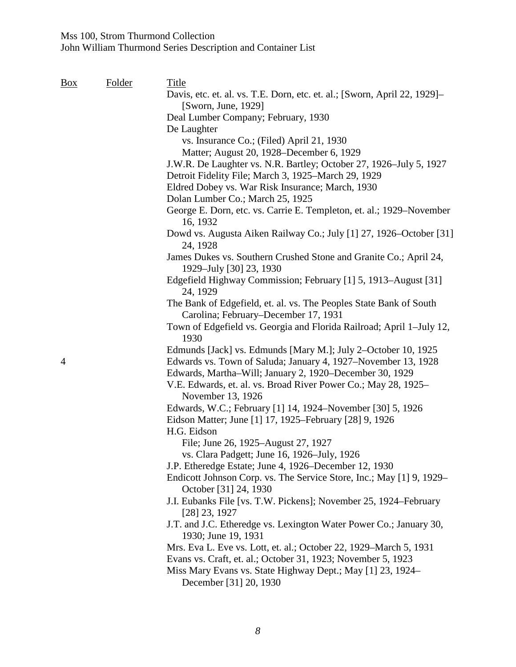| Box | Folder | <b>Title</b>                                                                                                                  |
|-----|--------|-------------------------------------------------------------------------------------------------------------------------------|
|     |        | Davis, etc. et. al. vs. T.E. Dorn, etc. et. al.; [Sworn, April 22, 1929]–                                                     |
|     |        | [Sworn, June, 1929]                                                                                                           |
|     |        | Deal Lumber Company; February, 1930                                                                                           |
|     |        | De Laughter                                                                                                                   |
|     |        | vs. Insurance Co.; (Filed) April 21, 1930                                                                                     |
|     |        | Matter; August 20, 1928–December 6, 1929                                                                                      |
|     |        | J.W.R. De Laughter vs. N.R. Bartley; October 27, 1926–July 5, 1927<br>Detroit Fidelity File; March 3, 1925–March 29, 1929     |
|     |        | Eldred Dobey vs. War Risk Insurance; March, 1930                                                                              |
|     |        | Dolan Lumber Co.; March 25, 1925                                                                                              |
|     |        | George E. Dorn, etc. vs. Carrie E. Templeton, et. al.; 1929–November<br>16, 1932                                              |
|     |        | Dowd vs. Augusta Aiken Railway Co.; July [1] 27, 1926–October [31]<br>24, 1928                                                |
|     |        | James Dukes vs. Southern Crushed Stone and Granite Co.; April 24,<br>1929-July [30] 23, 1930                                  |
|     |        | Edgefield Highway Commission; February [1] 5, 1913–August [31]<br>24, 1929                                                    |
|     |        | The Bank of Edgefield, et. al. vs. The Peoples State Bank of South                                                            |
|     |        | Carolina; February–December 17, 1931                                                                                          |
|     |        | Town of Edgefield vs. Georgia and Florida Railroad; April 1-July 12,<br>1930                                                  |
|     |        | Edmunds [Jack] vs. Edmunds [Mary M.]; July 2-October 10, 1925                                                                 |
| 4   |        | Edwards vs. Town of Saluda; January 4, 1927-November 13, 1928<br>Edwards, Martha-Will; January 2, 1920-December 30, 1929      |
|     |        | V.E. Edwards, et. al. vs. Broad River Power Co.; May 28, 1925–<br>November 13, 1926                                           |
|     |        | Edwards, W.C.; February [1] 14, 1924–November [30] 5, 1926                                                                    |
|     |        | Eidson Matter; June [1] 17, 1925–February [28] 9, 1926                                                                        |
|     |        | H.G. Eidson                                                                                                                   |
|     |        | File; June 26, 1925–August 27, 1927                                                                                           |
|     |        | vs. Clara Padgett; June 16, 1926-July, 1926                                                                                   |
|     |        | J.P. Etheredge Estate; June 4, 1926–December 12, 1930<br>Endicott Johnson Corp. vs. The Service Store, Inc.; May [1] 9, 1929– |
|     |        | October [31] 24, 1930<br>J.I. Eubanks File [vs. T.W. Pickens]; November 25, 1924–February                                     |
|     |        | [28] 23, 1927<br>J.T. and J.C. Etheredge vs. Lexington Water Power Co.; January 30,                                           |
|     |        | 1930; June 19, 1931                                                                                                           |
|     |        | Mrs. Eva L. Eve vs. Lott, et. al.; October 22, 1929–March 5, 1931                                                             |
|     |        | Evans vs. Craft, et. al.; October 31, 1923; November 5, 1923                                                                  |
|     |        | Miss Mary Evans vs. State Highway Dept.; May [1] 23, 1924–<br>December [31] 20, 1930                                          |
|     |        |                                                                                                                               |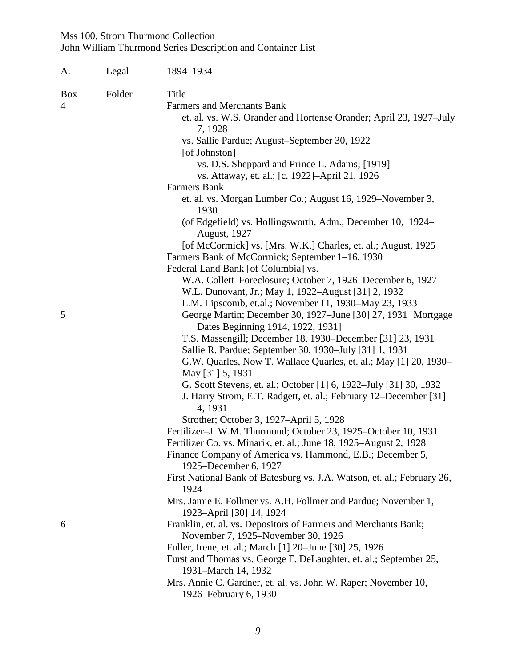| A.         | Legal  | 1894-1934                                                                                                                                                                               |
|------------|--------|-----------------------------------------------------------------------------------------------------------------------------------------------------------------------------------------|
| <u>Box</u> | Folder | <b>Title</b><br><b>Farmers and Merchants Bank</b><br>et. al. vs. W.S. Orander and Hortense Orander; April 23, 1927–July<br>7, 1928                                                      |
|            |        | vs. Sallie Pardue; August–September 30, 1922<br>[of Johnston]                                                                                                                           |
|            |        | vs. D.S. Sheppard and Prince L. Adams; [1919]<br>vs. Attaway, et. al.; [c. 1922]–April 21, 1926                                                                                         |
|            |        | Farmers Bank                                                                                                                                                                            |
|            |        | et. al. vs. Morgan Lumber Co.; August 16, 1929–November 3,<br>1930                                                                                                                      |
|            |        | (of Edgefield) vs. Hollingsworth, Adm.; December 10, 1924–<br><b>August</b> , 1927                                                                                                      |
|            |        | [of McCormick] vs. [Mrs. W.K.] Charles, et. al.; August, 1925<br>Farmers Bank of McCormick; September 1–16, 1930<br>Federal Land Bank [of Columbia] vs.                                 |
|            |        | W.A. Collett–Foreclosure; October 7, 1926–December 6, 1927<br>W.L. Dunovant, Jr.; May 1, 1922–August [31] 2, 1932                                                                       |
| 5          |        | L.M. Lipscomb, et.al.; November 11, 1930–May 23, 1933<br>George Martin; December 30, 1927–June [30] 27, 1931 [Mortgage<br>Dates Beginning 1914, 1922, 1931]                             |
|            |        | T.S. Massengill; December 18, 1930–December [31] 23, 1931<br>Sallie R. Pardue; September 30, 1930-July [31] 1, 1931<br>G.W. Quarles, Now T. Wallace Quarles, et. al.; May [1] 20, 1930– |
|            |        | May [31] 5, 1931                                                                                                                                                                        |
|            |        | G. Scott Stevens, et. al.; October [1] 6, 1922–July [31] 30, 1932<br>J. Harry Strom, E.T. Radgett, et. al.; February 12–December [31]<br>4, 1931                                        |
|            |        | Strother; October 3, 1927–April 5, 1928                                                                                                                                                 |
|            |        | Fertilizer-J. W.M. Thurmond; October 23, 1925-October 10, 1931                                                                                                                          |
|            |        | Fertilizer Co. vs. Minarik, et. al.; June 18, 1925–August 2, 1928                                                                                                                       |
|            |        | Finance Company of America vs. Hammond, E.B.; December 5,<br>1925–December 6, 1927                                                                                                      |
|            |        | First National Bank of Batesburg vs. J.A. Watson, et. al.; February 26,<br>1924                                                                                                         |
|            |        | Mrs. Jamie E. Follmer vs. A.H. Follmer and Pardue; November 1,<br>1923-April [30] 14, 1924                                                                                              |
| 6          |        | Franklin, et. al. vs. Depositors of Farmers and Merchants Bank;<br>November 7, 1925–November 30, 1926                                                                                   |
|            |        | Fuller, Irene, et. al.; March [1] 20–June [30] 25, 1926<br>Furst and Thomas vs. George F. DeLaughter, et. al.; September 25,                                                            |
|            |        | 1931-March 14, 1932                                                                                                                                                                     |
|            |        | Mrs. Annie C. Gardner, et. al. vs. John W. Raper; November 10,<br>1926–February 6, 1930                                                                                                 |
|            |        |                                                                                                                                                                                         |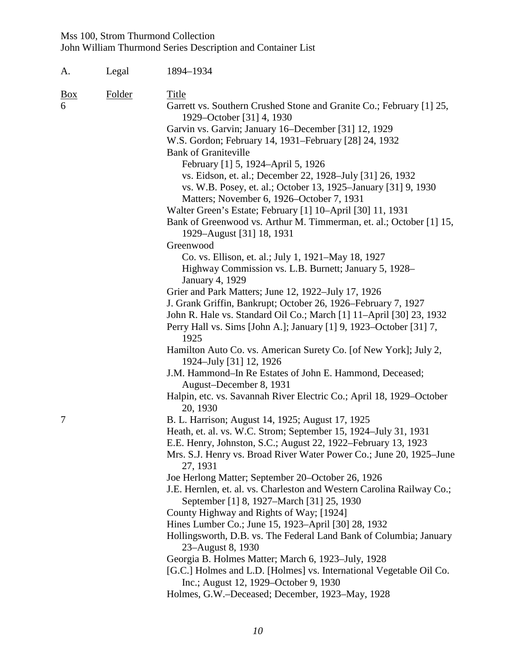| A.                                                  | Legal | 1894-1934                                                                                                                                                                                                                                                                                                                                                                                                                                                                                                                                                                                                                                                                                                                                             |  |  |
|-----------------------------------------------------|-------|-------------------------------------------------------------------------------------------------------------------------------------------------------------------------------------------------------------------------------------------------------------------------------------------------------------------------------------------------------------------------------------------------------------------------------------------------------------------------------------------------------------------------------------------------------------------------------------------------------------------------------------------------------------------------------------------------------------------------------------------------------|--|--|
| Folder<br>Title<br>$\frac{Box}{}$<br>6<br>Greenwood |       | Garrett vs. Southern Crushed Stone and Granite Co.; February [1] 25,<br>1929–October [31] 4, 1930<br>Garvin vs. Garvin; January 16–December [31] 12, 1929<br>W.S. Gordon; February 14, 1931–February [28] 24, 1932<br><b>Bank of Graniteville</b><br>February [1] 5, 1924–April 5, 1926<br>vs. Eidson, et. al.; December 22, 1928–July [31] 26, 1932<br>vs. W.B. Posey, et. al.; October 13, 1925–January [31] 9, 1930<br>Matters; November 6, 1926–October 7, 1931<br>Walter Green's Estate; February [1] 10-April [30] 11, 1931<br>Bank of Greenwood vs. Arthur M. Timmerman, et. al.; October [1] 15,<br>1929–August [31] 18, 1931<br>Co. vs. Ellison, et. al.; July 1, 1921–May 18, 1927<br>Highway Commission vs. L.B. Burnett; January 5, 1928– |  |  |
|                                                     |       | January 4, 1929<br>Grier and Park Matters; June 12, 1922-July 17, 1926<br>J. Grank Griffin, Bankrupt; October 26, 1926–February 7, 1927<br>John R. Hale vs. Standard Oil Co.; March [1] 11-April [30] 23, 1932<br>Perry Hall vs. Sims [John A.]; January [1] 9, 1923–October [31] 7,<br>1925<br>Hamilton Auto Co. vs. American Surety Co. [of New York]; July 2,<br>1924–July [31] 12, 1926<br>J.M. Hammond–In Re Estates of John E. Hammond, Deceased;                                                                                                                                                                                                                                                                                               |  |  |
|                                                     |       | August-December 8, 1931<br>Halpin, etc. vs. Savannah River Electric Co.; April 18, 1929–October<br>20, 1930                                                                                                                                                                                                                                                                                                                                                                                                                                                                                                                                                                                                                                           |  |  |
| $\overline{7}$                                      |       | B. L. Harrison; August 14, 1925; August 17, 1925<br>Heath, et. al. vs. W.C. Strom; September 15, 1924–July 31, 1931<br>E.E. Henry, Johnston, S.C.; August 22, 1922-February 13, 1923<br>Mrs. S.J. Henry vs. Broad River Water Power Co.; June 20, 1925–June<br>27, 1931<br>Joe Herlong Matter; September 20-October 26, 1926<br>J.E. Hernlen, et. al. vs. Charleston and Western Carolina Railway Co.;<br>September [1] 8, 1927–March [31] 25, 1930<br>County Highway and Rights of Way; [1924]<br>Hines Lumber Co.; June 15, 1923–April [30] 28, 1932<br>Hollingsworth, D.B. vs. The Federal Land Bank of Columbia; January                                                                                                                          |  |  |
|                                                     |       | 23-August 8, 1930<br>Georgia B. Holmes Matter; March 6, 1923–July, 1928<br>[G.C.] Holmes and L.D. [Holmes] vs. International Vegetable Oil Co.<br>Inc.; August 12, 1929–October 9, 1930<br>Holmes, G.W.–Deceased; December, 1923–May, 1928                                                                                                                                                                                                                                                                                                                                                                                                                                                                                                            |  |  |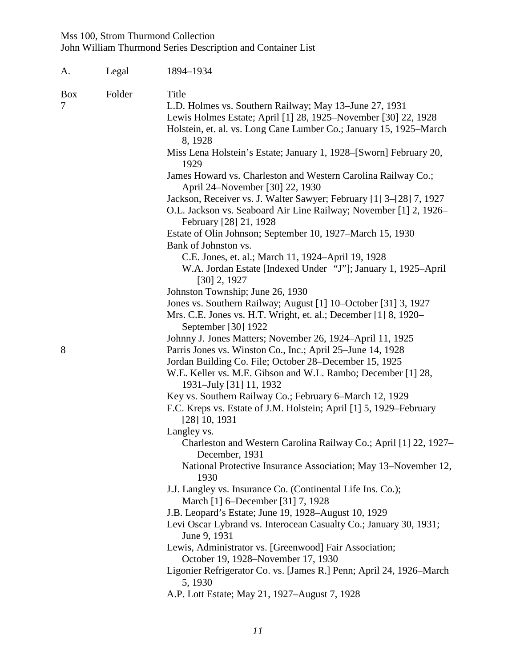| A.         | Legal  | 1894-1934                                                                                                                                                                                                                 |
|------------|--------|---------------------------------------------------------------------------------------------------------------------------------------------------------------------------------------------------------------------------|
| <u>Box</u> | Folder | <b>Title</b><br>L.D. Holmes vs. Southern Railway; May 13–June 27, 1931<br>Lewis Holmes Estate; April [1] 28, 1925–November [30] 22, 1928<br>Holstein, et. al. vs. Long Cane Lumber Co.; January 15, 1925–March<br>8, 1928 |
|            |        | Miss Lena Holstein's Estate; January 1, 1928-[Sworn] February 20,<br>1929                                                                                                                                                 |
|            |        | James Howard vs. Charleston and Western Carolina Railway Co.;<br>April 24–November [30] 22, 1930                                                                                                                          |
|            |        | Jackson, Receiver vs. J. Walter Sawyer; February [1] 3-[28] 7, 1927<br>O.L. Jackson vs. Seaboard Air Line Railway; November [1] 2, 1926–<br>February [28] 21, 1928                                                        |
|            |        | Estate of Olin Johnson; September 10, 1927-March 15, 1930<br>Bank of Johnston vs.                                                                                                                                         |
|            |        | C.E. Jones, et. al.; March 11, 1924-April 19, 1928<br>W.A. Jordan Estate [Indexed Under "J"]; January 1, 1925–April<br>$[30]$ 2, 1927                                                                                     |
|            |        | Johnston Township; June 26, 1930<br>Jones vs. Southern Railway; August [1] 10–October [31] 3, 1927<br>Mrs. C.E. Jones vs. H.T. Wright, et. al.; December [1] 8, 1920–<br>September [30] 1922                              |
| 8          |        | Johnny J. Jones Matters; November 26, 1924–April 11, 1925<br>Parris Jones vs. Winston Co., Inc.; April 25–June 14, 1928                                                                                                   |
|            |        | Jordan Building Co. File; October 28-December 15, 1925<br>W.E. Keller vs. M.E. Gibson and W.L. Rambo; December [1] 28,<br>1931-July [31] 11, 1932                                                                         |
|            |        | Key vs. Southern Railway Co.; February 6–March 12, 1929<br>F.C. Kreps vs. Estate of J.M. Holstein; April [1] 5, 1929–February<br>$[28]$ 10, 1931                                                                          |
|            |        | Langley vs.<br>Charleston and Western Carolina Railway Co.; April [1] 22, 1927–<br>December, 1931                                                                                                                         |
|            |        | National Protective Insurance Association; May 13–November 12,<br>1930                                                                                                                                                    |
|            |        | J.J. Langley vs. Insurance Co. (Continental Life Ins. Co.);<br>March [1] 6–December [31] 7, 1928                                                                                                                          |
|            |        | J.B. Leopard's Estate; June 19, 1928–August 10, 1929<br>Levi Oscar Lybrand vs. Interocean Casualty Co.; January 30, 1931;<br>June 9, 1931                                                                                 |
|            |        | Lewis, Administrator vs. [Greenwood] Fair Association;<br>October 19, 1928–November 17, 1930                                                                                                                              |
|            |        | Ligonier Refrigerator Co. vs. [James R.] Penn; April 24, 1926–March<br>5, 1930                                                                                                                                            |
|            |        | A.P. Lott Estate; May 21, 1927–August 7, 1928                                                                                                                                                                             |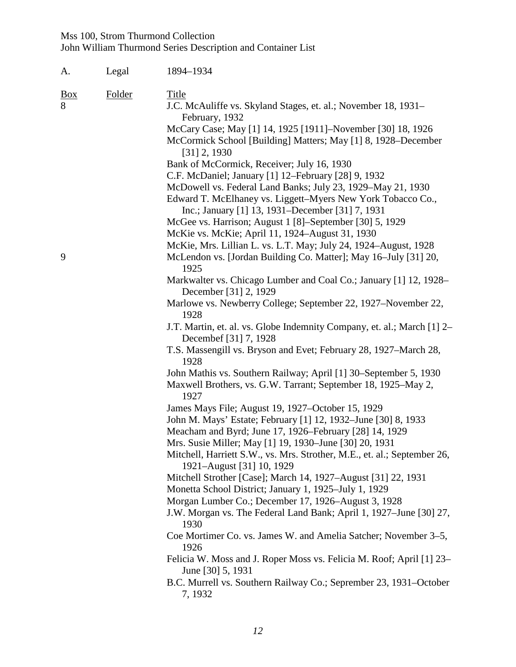| А.              | Legal  | 1894-1934                                                                                                                    |
|-----------------|--------|------------------------------------------------------------------------------------------------------------------------------|
| <u>Box</u><br>8 | Folder | Title<br>J.C. McAuliffe vs. Skyland Stages, et. al.; November 18, 1931-                                                      |
|                 |        | February, 1932                                                                                                               |
|                 |        | McCary Case; May [1] 14, 1925 [1911]-November [30] 18, 1926<br>McCormick School [Building] Matters; May [1] 8, 1928–December |
|                 |        | $[31]$ 2, 1930                                                                                                               |
|                 |        | Bank of McCormick, Receiver; July 16, 1930<br>C.F. McDaniel; January [1] 12–February [28] 9, 1932                            |
|                 |        | McDowell vs. Federal Land Banks; July 23, 1929–May 21, 1930                                                                  |
|                 |        | Edward T. McElhaney vs. Liggett-Myers New York Tobacco Co.,<br>Inc.; January [1] 13, 1931–December [31] 7, 1931              |
|                 |        | McGee vs. Harrison; August 1 [8]–September [30] 5, 1929                                                                      |
|                 |        | McKie vs. McKie; April 11, 1924-August 31, 1930                                                                              |
|                 |        | McKie, Mrs. Lillian L. vs. L.T. May; July 24, 1924–August, 1928                                                              |
| 9               |        | McLendon vs. [Jordan Building Co. Matter]; May 16-July [31] 20,<br>1925                                                      |
|                 |        | Markwalter vs. Chicago Lumber and Coal Co.; January [1] 12, 1928-<br>December [31] 2, 1929                                   |
|                 |        | Marlowe vs. Newberry College; September 22, 1927–November 22,<br>1928                                                        |
|                 |        | J.T. Martin, et. al. vs. Globe Indemnity Company, et. al.; March [1] 2–<br>December [31] 7, 1928                             |
|                 |        | T.S. Massengill vs. Bryson and Evet; February 28, 1927–March 28,<br>1928                                                     |
|                 |        | John Mathis vs. Southern Railway; April [1] 30–September 5, 1930                                                             |
|                 |        | Maxwell Brothers, vs. G.W. Tarrant; September 18, 1925-May 2,<br>1927                                                        |
|                 |        | James Mays File; August 19, 1927–October 15, 1929                                                                            |
|                 |        | John M. Mays' Estate; February [1] 12, 1932–June [30] 8, 1933                                                                |
|                 |        | Meacham and Byrd; June 17, 1926–February [28] 14, 1929<br>Mrs. Susie Miller; May [1] 19, 1930–June [30] 20, 1931             |
|                 |        | Mitchell, Harriett S.W., vs. Mrs. Strother, M.E., et. al.; September 26,                                                     |
|                 |        | 1921-August [31] 10, 1929                                                                                                    |
|                 |        | Mitchell Strother [Case]; March 14, 1927–August [31] 22, 1931                                                                |
|                 |        | Monetta School District; January 1, 1925–July 1, 1929                                                                        |
|                 |        | Morgan Lumber Co.; December 17, 1926–August 3, 1928                                                                          |
|                 |        | J.W. Morgan vs. The Federal Land Bank; April 1, 1927–June [30] 27,<br>1930                                                   |
|                 |        | Coe Mortimer Co. vs. James W. and Amelia Satcher; November 3–5,<br>1926                                                      |
|                 |        | Felicia W. Moss and J. Roper Moss vs. Felicia M. Roof; April [1] 23–<br>June [30] 5, 1931                                    |
|                 |        | B.C. Murrell vs. Southern Railway Co.; Seprember 23, 1931–October<br>7, 1932                                                 |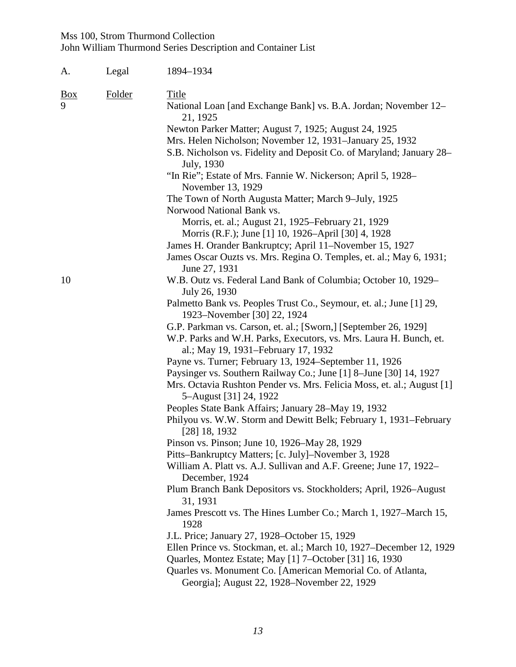| А.              | Legal  | 1894-1934                                                                                                                                                                                                           |
|-----------------|--------|---------------------------------------------------------------------------------------------------------------------------------------------------------------------------------------------------------------------|
| <u>Box</u><br>9 | Folder | <b>Title</b><br>National Loan [and Exchange Bank] vs. B.A. Jordan; November 12-                                                                                                                                     |
|                 |        | 21, 1925<br>Newton Parker Matter; August 7, 1925; August 24, 1925<br>Mrs. Helen Nicholson; November 12, 1931–January 25, 1932<br>S.B. Nicholson vs. Fidelity and Deposit Co. of Maryland; January 28–<br>July, 1930 |
|                 |        | "In Rie"; Estate of Mrs. Fannie W. Nickerson; April 5, 1928–<br>November 13, 1929                                                                                                                                   |
|                 |        | The Town of North Augusta Matter; March 9-July, 1925<br>Norwood National Bank vs.                                                                                                                                   |
|                 |        | Morris, et. al.; August 21, 1925–February 21, 1929<br>Morris (R.F.); June [1] 10, 1926–April [30] 4, 1928                                                                                                           |
|                 |        | James H. Orander Bankruptcy; April 11–November 15, 1927                                                                                                                                                             |
|                 |        | James Oscar Ouzts vs. Mrs. Regina O. Temples, et. al.; May 6, 1931;<br>June 27, 1931                                                                                                                                |
| 10              |        | W.B. Outz vs. Federal Land Bank of Columbia; October 10, 1929–<br>July 26, 1930                                                                                                                                     |
|                 |        | Palmetto Bank vs. Peoples Trust Co., Seymour, et. al.; June [1] 29,<br>1923–November [30] 22, 1924                                                                                                                  |
|                 |        | G.P. Parkman vs. Carson, et. al.; [Sworn,] [September 26, 1929]<br>W.P. Parks and W.H. Parks, Executors, vs. Mrs. Laura H. Bunch, et.<br>al.; May 19, 1931–February 17, 1932                                        |
|                 |        | Payne vs. Turner; February 13, 1924–September 11, 1926                                                                                                                                                              |
|                 |        | Paysinger vs. Southern Railway Co.; June [1] 8-June [30] 14, 1927                                                                                                                                                   |
|                 |        | Mrs. Octavia Rushton Pender vs. Mrs. Felicia Moss, et. al.; August [1]<br>5–August [31] 24, 1922                                                                                                                    |
|                 |        | Peoples State Bank Affairs; January 28–May 19, 1932                                                                                                                                                                 |
|                 |        | Philyou vs. W.W. Storm and Dewitt Belk; February 1, 1931–February<br>$[28]$ 18, 1932                                                                                                                                |
|                 |        | Pinson vs. Pinson; June 10, 1926–May 28, 1929                                                                                                                                                                       |
|                 |        | Pitts-Bankruptcy Matters; [c. July]-November 3, 1928<br>William A. Platt vs. A.J. Sullivan and A.F. Greene; June 17, 1922–<br>December, 1924                                                                        |
|                 |        | Plum Branch Bank Depositors vs. Stockholders; April, 1926–August<br>31, 1931                                                                                                                                        |
|                 |        | James Prescott vs. The Hines Lumber Co.; March 1, 1927–March 15,<br>1928                                                                                                                                            |
|                 |        | J.L. Price; January 27, 1928–October 15, 1929                                                                                                                                                                       |
|                 |        | Ellen Prince vs. Stockman, et. al.; March 10, 1927–December 12, 1929                                                                                                                                                |
|                 |        | Quarles, Montez Estate; May [1] 7–October [31] 16, 1930                                                                                                                                                             |
|                 |        | Quarles vs. Monument Co. [American Memorial Co. of Atlanta,<br>Georgia]; August 22, 1928–November 22, 1929                                                                                                          |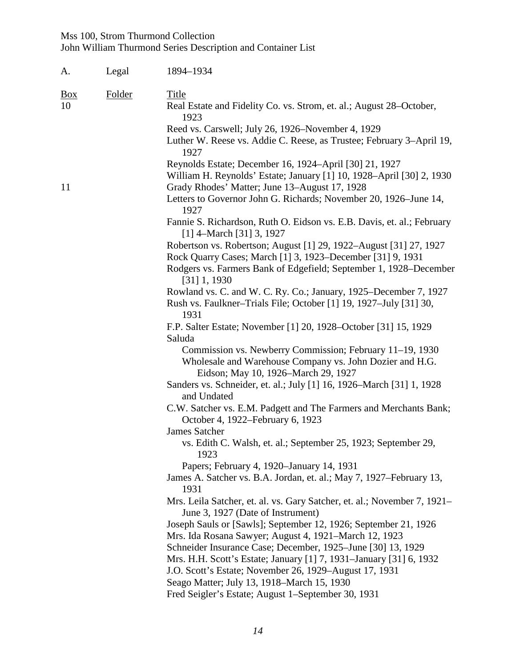| A.                                | Legal | 1894-1934                                                                                                                                                                                                              |  |
|-----------------------------------|-------|------------------------------------------------------------------------------------------------------------------------------------------------------------------------------------------------------------------------|--|
| Folder<br>$\underline{Box}$<br>10 |       | Title<br>Real Estate and Fidelity Co. vs. Strom, et. al.; August 28–October,<br>1923                                                                                                                                   |  |
|                                   |       | Reed vs. Carswell; July 26, 1926–November 4, 1929<br>Luther W. Reese vs. Addie C. Reese, as Trustee; February 3–April 19,<br>1927                                                                                      |  |
|                                   |       | Reynolds Estate; December 16, 1924–April [30] 21, 1927<br>William H. Reynolds' Estate; January [1] 10, 1928-April [30] 2, 1930                                                                                         |  |
| 11                                |       | Grady Rhodes' Matter; June 13-August 17, 1928<br>Letters to Governor John G. Richards; November 20, 1926–June 14,<br>1927                                                                                              |  |
|                                   |       | Fannie S. Richardson, Ruth O. Eidson vs. E.B. Davis, et. al.; February<br>$[1]$ 4–March [31] 3, 1927                                                                                                                   |  |
|                                   |       | Robertson vs. Robertson; August [1] 29, 1922-August [31] 27, 1927<br>Rock Quarry Cases; March [1] 3, 1923–December [31] 9, 1931<br>Rodgers vs. Farmers Bank of Edgefield; September 1, 1928–December<br>$[31]$ 1, 1930 |  |
|                                   |       | Rowland vs. C. and W. C. Ry. Co.; January, 1925–December 7, 1927<br>Rush vs. Faulkner–Trials File; October [1] 19, 1927–July [31] 30,<br>1931                                                                          |  |
|                                   |       | F.P. Salter Estate; November [1] 20, 1928–October [31] 15, 1929                                                                                                                                                        |  |
|                                   |       | Saluda<br>Commission vs. Newberry Commission; February 11-19, 1930<br>Wholesale and Warehouse Company vs. John Dozier and H.G.<br>Eidson; May 10, 1926–March 29, 1927                                                  |  |
|                                   |       | Sanders vs. Schneider, et. al.; July [1] 16, 1926–March [31] 1, 1928<br>and Undated                                                                                                                                    |  |
|                                   |       | C.W. Satcher vs. E.M. Padgett and The Farmers and Merchants Bank;<br>October 4, 1922–February 6, 1923                                                                                                                  |  |
|                                   |       | <b>James Satcher</b><br>vs. Edith C. Walsh, et. al.; September 25, 1923; September 29,<br>1923                                                                                                                         |  |
|                                   |       | Papers; February 4, 1920–January 14, 1931<br>James A. Satcher vs. B.A. Jordan, et. al.; May 7, 1927–February 13,<br>1931                                                                                               |  |
|                                   |       | Mrs. Leila Satcher, et. al. vs. Gary Satcher, et. al.; November 7, 1921–<br>June 3, 1927 (Date of Instrument)                                                                                                          |  |
|                                   |       | Joseph Sauls or [Sawls]; September 12, 1926; September 21, 1926<br>Mrs. Ida Rosana Sawyer; August 4, 1921–March 12, 1923                                                                                               |  |
|                                   |       | Schneider Insurance Case; December, 1925–June [30] 13, 1929<br>Mrs. H.H. Scott's Estate; January [1] 7, 1931–January [31] 6, 1932<br>J.O. Scott's Estate; November 26, 1929–August 17, 1931                            |  |
|                                   |       | Seago Matter; July 13, 1918–March 15, 1930<br>Fred Seigler's Estate; August 1–September 30, 1931                                                                                                                       |  |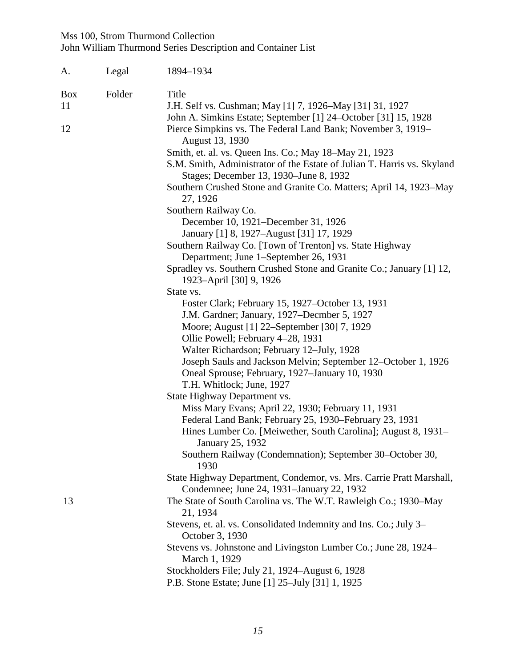| A.                                         | Legal | 1894-1934                                                                                                                  |
|--------------------------------------------|-------|----------------------------------------------------------------------------------------------------------------------------|
| <b>Box</b><br>Folder<br><b>Title</b><br>11 |       |                                                                                                                            |
|                                            |       | J.H. Self vs. Cushman; May [1] 7, 1926–May [31] 31, 1927<br>John A. Simkins Estate; September [1] 24–October [31] 15, 1928 |
| 12                                         |       | Pierce Simpkins vs. The Federal Land Bank; November 3, 1919–                                                               |
|                                            |       | August 13, 1930                                                                                                            |
|                                            |       | Smith, et. al. vs. Queen Ins. Co.; May 18-May 21, 1923                                                                     |
|                                            |       | S.M. Smith, Administrator of the Estate of Julian T. Harris vs. Skyland<br>Stages; December 13, 1930–June 8, 1932          |
|                                            |       | Southern Crushed Stone and Granite Co. Matters; April 14, 1923–May<br>27, 1926                                             |
|                                            |       | Southern Railway Co.                                                                                                       |
|                                            |       | December 10, 1921–December 31, 1926                                                                                        |
|                                            |       | January [1] 8, 1927–August [31] 17, 1929                                                                                   |
|                                            |       | Southern Railway Co. [Town of Trenton] vs. State Highway                                                                   |
|                                            |       | Department; June 1–September 26, 1931                                                                                      |
|                                            |       | Spradley vs. Southern Crushed Stone and Granite Co.; January [1] 12,                                                       |
|                                            |       | 1923–April [30] 9, 1926                                                                                                    |
|                                            |       | State vs.                                                                                                                  |
|                                            |       | Foster Clark; February 15, 1927–October 13, 1931                                                                           |
|                                            |       | J.M. Gardner; January, 1927–Decmber 5, 1927                                                                                |
|                                            |       | Moore; August [1] 22–September [30] 7, 1929                                                                                |
|                                            |       | Ollie Powell; February 4-28, 1931                                                                                          |
|                                            |       | Walter Richardson; February 12–July, 1928                                                                                  |
|                                            |       | Joseph Sauls and Jackson Melvin; September 12–October 1, 1926                                                              |
|                                            |       | Oneal Sprouse; February, 1927–January 10, 1930                                                                             |
|                                            |       | T.H. Whitlock; June, 1927                                                                                                  |
|                                            |       | State Highway Department vs.                                                                                               |
|                                            |       | Miss Mary Evans; April 22, 1930; February 11, 1931                                                                         |
|                                            |       | Federal Land Bank; February 25, 1930–February 23, 1931<br>Hines Lumber Co. [Meiwether, South Carolina]; August 8, 1931–    |
|                                            |       | January 25, 1932                                                                                                           |
|                                            |       | Southern Railway (Condemnation); September 30–October 30,                                                                  |
|                                            |       | 1930                                                                                                                       |
|                                            |       | State Highway Department, Condemor, vs. Mrs. Carrie Pratt Marshall,                                                        |
|                                            |       | Condemnee; June 24, 1931–January 22, 1932                                                                                  |
| 13                                         |       | The State of South Carolina vs. The W.T. Rawleigh Co.; 1930-May<br>21, 1934                                                |
|                                            |       | Stevens, et. al. vs. Consolidated Indemnity and Ins. Co.; July 3–<br>October 3, 1930                                       |
|                                            |       | Stevens vs. Johnstone and Livingston Lumber Co.; June 28, 1924–<br>March 1, 1929                                           |
|                                            |       | Stockholders File; July 21, 1924-August 6, 1928                                                                            |
|                                            |       | P.B. Stone Estate; June [1] 25–July [31] 1, 1925                                                                           |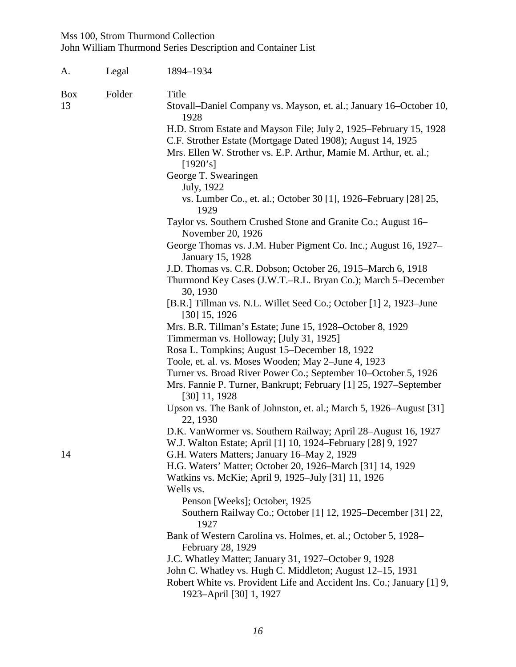| A.                      | Legal  | 1894-1934                                                                                                                                                                                                                 |  |
|-------------------------|--------|---------------------------------------------------------------------------------------------------------------------------------------------------------------------------------------------------------------------------|--|
| $\underline{Box}$<br>13 | Folder | <b>Title</b><br>Stovall–Daniel Company vs. Mayson, et. al.; January 16–October 10,                                                                                                                                        |  |
|                         |        | 1928<br>H.D. Strom Estate and Mayson File; July 2, 1925-February 15, 1928<br>C.F. Strother Estate (Mortgage Dated 1908); August 14, 1925<br>Mrs. Ellen W. Strother vs. E.P. Arthur, Mamie M. Arthur, et. al.;<br>[1920's] |  |
|                         |        | George T. Swearingen<br>July, 1922<br>vs. Lumber Co., et. al.; October 30 [1], 1926–February [28] 25,                                                                                                                     |  |
|                         |        | 1929<br>Taylor vs. Southern Crushed Stone and Granite Co.; August 16–                                                                                                                                                     |  |
|                         |        | November 20, 1926<br>George Thomas vs. J.M. Huber Pigment Co. Inc.; August 16, 1927–                                                                                                                                      |  |
|                         |        | January 15, 1928<br>J.D. Thomas vs. C.R. Dobson; October 26, 1915–March 6, 1918<br>Thurmond Key Cases (J.W.T.–R.L. Bryan Co.); March 5–December<br>30, 1930                                                               |  |
|                         |        | [B.R.] Tillman vs. N.L. Willet Seed Co.; October [1] 2, 1923–June<br>$[30]$ 15, 1926                                                                                                                                      |  |
|                         |        | Mrs. B.R. Tillman's Estate; June 15, 1928–October 8, 1929<br>Timmerman vs. Holloway; [July 31, 1925]                                                                                                                      |  |
|                         |        | Rosa L. Tompkins; August 15–December 18, 1922                                                                                                                                                                             |  |
|                         |        | Toole, et. al. vs. Moses Wooden; May 2-June 4, 1923                                                                                                                                                                       |  |
|                         |        | Turner vs. Broad River Power Co.; September 10–October 5, 1926                                                                                                                                                            |  |
|                         |        | Mrs. Fannie P. Turner, Bankrupt; February [1] 25, 1927–September<br>$[30]$ 11, 1928                                                                                                                                       |  |
|                         |        | Upson vs. The Bank of Johnston, et. al.; March 5, 1926–August [31]<br>22, 1930                                                                                                                                            |  |
|                         |        | D.K. VanWormer vs. Southern Railway; April 28–August 16, 1927<br>W.J. Walton Estate; April [1] 10, 1924–February [28] 9, 1927                                                                                             |  |
| 14                      |        | G.H. Waters Matters; January 16–May 2, 1929                                                                                                                                                                               |  |
|                         |        | H.G. Waters' Matter; October 20, 1926–March [31] 14, 1929                                                                                                                                                                 |  |
|                         |        | Watkins vs. McKie; April 9, 1925–July [31] 11, 1926                                                                                                                                                                       |  |
|                         |        | Wells vs.                                                                                                                                                                                                                 |  |
|                         |        | Penson [Weeks]; October, 1925                                                                                                                                                                                             |  |
|                         |        | Southern Railway Co.; October [1] 12, 1925–December [31] 22,<br>1927                                                                                                                                                      |  |
|                         |        | Bank of Western Carolina vs. Holmes, et. al.; October 5, 1928–<br>February 28, 1929                                                                                                                                       |  |
|                         |        | J.C. Whatley Matter; January 31, 1927–October 9, 1928                                                                                                                                                                     |  |
|                         |        | John C. Whatley vs. Hugh C. Middleton; August 12–15, 1931                                                                                                                                                                 |  |
|                         |        | Robert White vs. Provident Life and Accident Ins. Co.; January [1] 9,<br>1923-April [30] 1, 1927                                                                                                                          |  |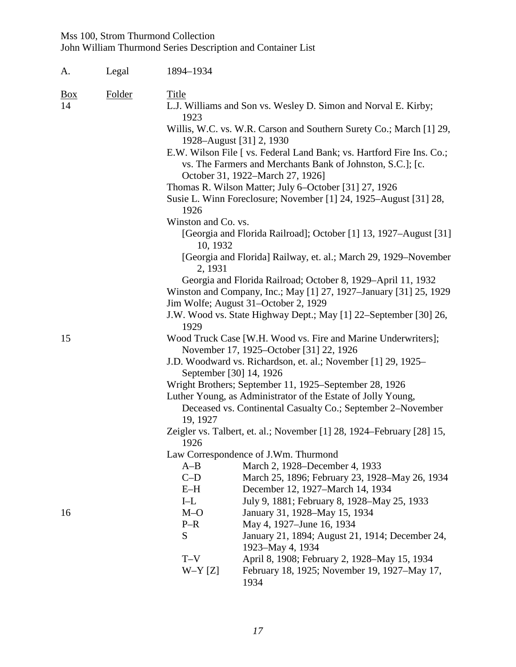| A.                      | Legal  | 1894-1934                                                                |                                                                                                                                                                         |  |  |
|-------------------------|--------|--------------------------------------------------------------------------|-------------------------------------------------------------------------------------------------------------------------------------------------------------------------|--|--|
| $\underline{Box}$<br>14 | Folder | <b>Title</b>                                                             |                                                                                                                                                                         |  |  |
|                         |        | 1923                                                                     | L.J. Williams and Son vs. Wesley D. Simon and Norval E. Kirby;                                                                                                          |  |  |
|                         |        |                                                                          | Willis, W.C. vs. W.R. Carson and Southern Surety Co.; March [1] 29,<br>1928–August [31] 2, 1930                                                                         |  |  |
|                         |        |                                                                          | E.W. Wilson File [ vs. Federal Land Bank; vs. Hartford Fire Ins. Co.;<br>vs. The Farmers and Merchants Bank of Johnston, S.C.]; [c.<br>October 31, 1922–March 27, 1926] |  |  |
|                         |        |                                                                          | Thomas R. Wilson Matter; July 6–October [31] 27, 1926<br>Susie L. Winn Foreclosure; November [1] 24, 1925–August [31] 28,                                               |  |  |
|                         |        | 1926<br>Winston and Co. vs.                                              |                                                                                                                                                                         |  |  |
|                         |        | 10, 1932                                                                 | [Georgia and Florida Railroad]; October [1] 13, 1927–August [31]                                                                                                        |  |  |
|                         |        | 2, 1931                                                                  | [Georgia and Florida] Railway, et. al.; March 29, 1929–November                                                                                                         |  |  |
|                         |        |                                                                          | Georgia and Florida Railroad; October 8, 1929–April 11, 1932                                                                                                            |  |  |
|                         |        |                                                                          | Winston and Company, Inc.; May [1] 27, 1927–January [31] 25, 1929                                                                                                       |  |  |
|                         |        | Jim Wolfe; August 31-October 2, 1929                                     |                                                                                                                                                                         |  |  |
|                         |        | J.W. Wood vs. State Highway Dept.; May [1] 22-September [30] 26,<br>1929 |                                                                                                                                                                         |  |  |
| 15                      |        |                                                                          | Wood Truck Case [W.H. Wood vs. Fire and Marine Underwriters];<br>November 17, 1925–October [31] 22, 1926                                                                |  |  |
|                         |        | September [30] 14, 1926                                                  | J.D. Woodward vs. Richardson, et. al.; November [1] 29, 1925–                                                                                                           |  |  |
|                         |        |                                                                          | Wright Brothers; September 11, 1925–September 28, 1926                                                                                                                  |  |  |
|                         |        |                                                                          | Luther Young, as Administrator of the Estate of Jolly Young,                                                                                                            |  |  |
|                         |        | 19, 1927                                                                 | Deceased vs. Continental Casualty Co.; September 2-November                                                                                                             |  |  |
|                         |        | 1926                                                                     | Zeigler vs. Talbert, et. al.; November [1] 28, 1924–February [28] 15,                                                                                                   |  |  |
|                         |        |                                                                          | Law Correspondence of J.Wm. Thurmond                                                                                                                                    |  |  |
|                         |        | $A-B$                                                                    | March 2, 1928–December 4, 1933                                                                                                                                          |  |  |
|                         |        | $C-D$                                                                    | March 25, 1896; February 23, 1928–May 26, 1934                                                                                                                          |  |  |
|                         |        | $E-H$                                                                    | December 12, 1927-March 14, 1934                                                                                                                                        |  |  |
|                         |        | $I-L$                                                                    | July 9, 1881; February 8, 1928–May 25, 1933                                                                                                                             |  |  |
| 16                      |        | $M-O$                                                                    | January 31, 1928–May 15, 1934                                                                                                                                           |  |  |
|                         |        | $P-R$                                                                    | May 4, 1927–June 16, 1934                                                                                                                                               |  |  |
|                         |        | S                                                                        | January 21, 1894; August 21, 1914; December 24,<br>1923–May 4, 1934                                                                                                     |  |  |
|                         |        | $T-V$                                                                    | April 8, 1908; February 2, 1928–May 15, 1934                                                                                                                            |  |  |
|                         |        | $W-Y[Z]$                                                                 | February 18, 1925; November 19, 1927–May 17,<br>1934                                                                                                                    |  |  |